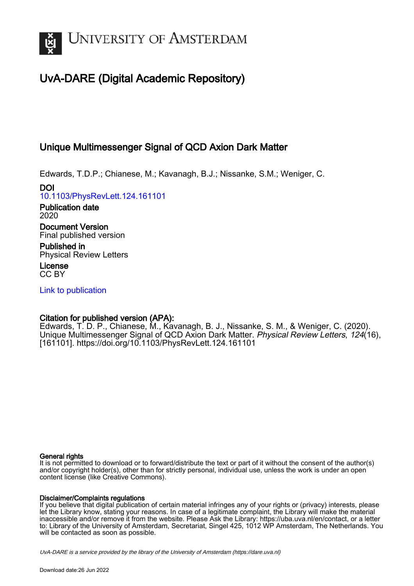

# UvA-DARE (Digital Academic Repository)

## Unique Multimessenger Signal of QCD Axion Dark Matter

Edwards, T.D.P.; Chianese, M.; Kavanagh, B.J.; Nissanke, S.M.; Weniger, C.

DOI [10.1103/PhysRevLett.124.161101](https://doi.org/10.1103/PhysRevLett.124.161101)

Publication date 2020

Document Version Final published version

Published in Physical Review Letters

License CC BY

[Link to publication](https://dare.uva.nl/personal/pure/en/publications/unique-multimessenger-signal-of-qcd-axion-dark-matter(4ed9ed7c-a1b3-46c0-ab01-f739cbe14eec).html)

### Citation for published version (APA):

Edwards, T. D. P., Chianese, M., Kavanagh, B. J., Nissanke, S. M., & Weniger, C. (2020). Unique Multimessenger Signal of QCD Axion Dark Matter. Physical Review Letters, 124(16), [161101].<https://doi.org/10.1103/PhysRevLett.124.161101>

#### General rights

It is not permitted to download or to forward/distribute the text or part of it without the consent of the author(s) and/or copyright holder(s), other than for strictly personal, individual use, unless the work is under an open content license (like Creative Commons).

#### Disclaimer/Complaints regulations

If you believe that digital publication of certain material infringes any of your rights or (privacy) interests, please let the Library know, stating your reasons. In case of a legitimate complaint, the Library will make the material inaccessible and/or remove it from the website. Please Ask the Library: https://uba.uva.nl/en/contact, or a letter to: Library of the University of Amsterdam, Secretariat, Singel 425, 1012 WP Amsterdam, The Netherlands. You will be contacted as soon as possible.

UvA-DARE is a service provided by the library of the University of Amsterdam (http*s*://dare.uva.nl)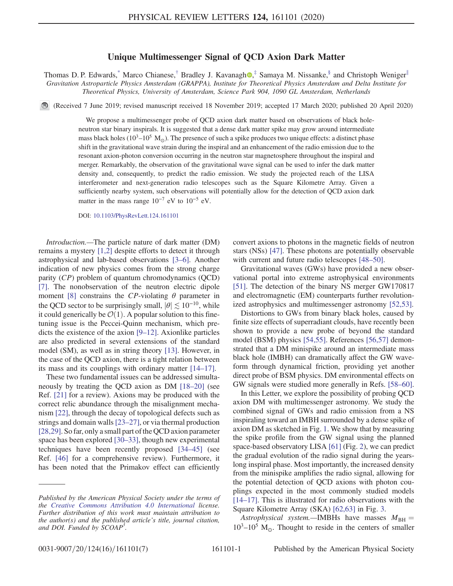#### Unique Multimessenger Signal of QCD Axion Dark Matter

<span id="page-1-0"></span>Thomas D. P. Edwards,<sup>[\\*](#page-5-0)</sup> Marco Chianese,<sup>[†](#page-5-1)</sup> Bradley J. Kavanagh<sup>o</sup>,<sup>[‡](#page-5-2)</sup> Samaya M. Nissanke,<sup>[§](#page-5-3)</sup> and Christoph Weniger<sup>[∥](#page-5-4)</sup> Gravitation Astroparticle Physics Amsterdam (GRAPPA), Institute for Theoretical Physics Amsterdam and Delta Institute for Theoretical Physics, University of Amsterdam, Science Park 904, 1090 GL Amsterdam, Netherlands

(Received 7 June 2019; revised manuscript received 18 November 2019; accepted 17 March 2020; published 20 April 2020)

We propose a multimessenger probe of QCD axion dark matter based on observations of black holeneutron star binary inspirals. It is suggested that a dense dark matter spike may grow around intermediate mass black holes ( $10^3-10^5$  M<sub>☉</sub>). The presence of such a spike produces two unique effects: a distinct phase shift in the gravitational wave strain during the inspiral and an enhancement of the radio emission due to the resonant axion-photon conversion occurring in the neutron star magnetosphere throughout the inspiral and merger. Remarkably, the observation of the gravitational wave signal can be used to infer the dark matter density and, consequently, to predict the radio emission. We study the projected reach of the LISA interferometer and next-generation radio telescopes such as the Square Kilometre Array. Given a sufficiently nearby system, such observations will potentially allow for the detection of QCD axion dark matter in the mass range  $10^{-7}$  eV to  $10^{-5}$  eV.

DOI: [10.1103/PhysRevLett.124.161101](https://doi.org/10.1103/PhysRevLett.124.161101)

Introduction.—The particle nature of dark matter (DM) remains a mystery [\[1,2\]](#page-5-5) despite efforts to detect it through astrophysical and lab-based observations [3–[6\].](#page-5-6) Another indication of new physics comes from the strong charge parity (CP) problem of quantum chromodynamics (QCD) [\[7\]](#page-5-7). The nonobservation of the neutron electric dipole moment [\[8\]](#page-5-8) constrains the CP-violating  $\theta$  parameter in the QCD sector to be surprisingly small,  $|\theta| \lesssim 10^{-10}$ , while it could generically be  $\mathcal{O}(1)$ . A popular solution to this finetuning issue is the Peccei-Quinn mechanism, which predicts the existence of the axion [9–[12\]](#page-5-9). Axionlike particles are also predicted in several extensions of the standard model (SM), as well as in string theory [\[13\].](#page-5-10) However, in the case of the QCD axion, there is a tight relation between its mass and its couplings with ordinary matter [\[14](#page-5-11)–17].

These two fundamental issues can be addressed simultaneously by treating the QCD axion as DM [\[18](#page-6-0)–20] (see Ref. [\[21\]](#page-6-1) for a review). Axions may be produced with the correct relic abundance through the misalignment mechanism [\[22\]](#page-6-2), through the decay of topological defects such as strings and domain walls[23–[27\],](#page-6-3) or via thermal production [\[28,29\]](#page-6-4). So far, only a small part of the QCD axion parameter space has been explored [\[30](#page-6-5)–33], though new experimental techniques have been recently proposed [34–[45\]](#page-6-6) (see Ref. [\[46\]](#page-6-7) for a comprehensive review). Furthermore, it has been noted that the Primakov effect can efficiently convert axions to photons in the magnetic fields of neutron stars (NSs) [\[47\].](#page-6-8) These photons are potentially observable with current and future radio telescopes [\[48](#page-6-9)–50].

Gravitational waves (GWs) have provided a new observational portal into extreme astrophysical environments [\[51\]](#page-6-10). The detection of the binary NS merger GW170817 and electromagnetic (EM) counterparts further revolutionized astrophysics and multimessenger astronomy [\[52,53\].](#page-6-11)

Distortions to GWs from binary black holes, caused by finite size effects of superradiant clouds, have recently been shown to provide a new probe of beyond the standard model (BSM) physics [\[54,55\]](#page-6-12). References [\[56,57\]](#page-6-13) demonstrated that a DM minispike around an intermediate mass black hole (IMBH) can dramatically affect the GW waveform through dynamical friction, providing yet another direct probe of BSM physics. DM environmental effects on GW signals were studied more generally in Refs. [\[58](#page-6-14)–60].

In this Letter, we explore the possibility of probing QCD axion DM with multimessenger astronomy. We study the combined signal of GWs and radio emission from a NS inspiraling toward an IMBH surrounded by a dense spike of axion DM as sketched in Fig. [1](#page-2-0). We show that by measuring the spike profile from the GW signal using the planned space-based observatory LISA [\[61\]](#page-6-15) (Fig. [2](#page-2-1)), we can predict the gradual evolution of the radio signal during the yearslong inspiral phase. Most importantly, the increased density from the minispike amplifies the radio signal, allowing for the potential detection of QCD axions with photon couplings expected in the most commonly studied models [\[14](#page-5-11)–17]. This is illustrated for radio observations with the Square Kilometre Array (SKA) [\[62,63\]](#page-6-16) in Fig. [3.](#page-2-2)

Astrophysical system.—IMBHs have masses  $M_{\text{BH}} =$  $10^3$ – $10^5$  M<sub>o</sub>. Thought to reside in the centers of smaller

Published by the American Physical Society under the terms of the [Creative Commons Attribution 4.0 International](https://creativecommons.org/licenses/by/4.0/) license. Further distribution of this work must maintain attribution to the author(s) and the published article's title, journal citation, and DOI. Funded by SCOAP<sup>3</sup>.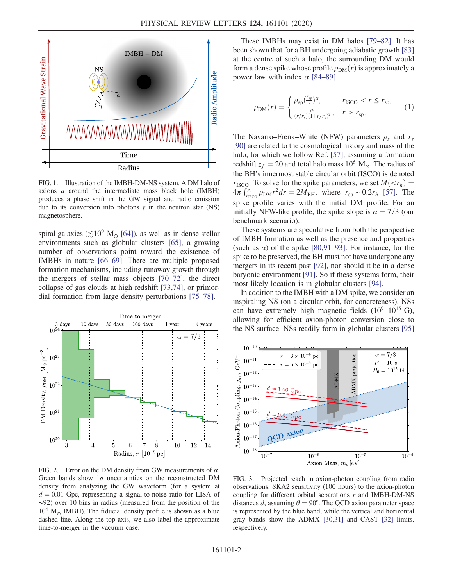<span id="page-2-0"></span>

FIG. 1. Illustration of the IMBH-DM-NS system. A DM halo of axions a around the intermediate mass black hole (IMBH) produces a phase shift in the GW signal and radio emission due to its conversion into photons  $\gamma$  in the neutron star (NS) magnetosphere.

spiral galaxies ( $\lesssim$ 10<sup>9</sup> M<sub>o</sub> [\[64\]](#page-6-17)), as well as in dense stellar environments such as globular clusters [\[65\]](#page-6-18), a growing number of observations point toward the existence of IMBHs in nature [\[66](#page-6-19)–69]. There are multiple proposed formation mechanisms, including runaway growth through the mergers of stellar mass objects [\[70](#page-6-20)–72], the direct collapse of gas clouds at high redshift [\[73,74\],](#page-7-0) or primordial formation from large density perturbations [75–[78\].](#page-7-1)

<span id="page-2-1"></span>

FIG. 2. Error on the DM density from GW measurements of  $\alpha$ . Green bands show  $1\sigma$  uncertainties on the reconstructed DM density from analyzing the GW waveform (for a system at  $d = 0.01$  Gpc, representing a signal-to-noise ratio for LISA of ∼92) over 10 bins in radius (measured from the position of the  $10^4$  M<sub> $\odot$ </sub> IMBH). The fiducial density profile is shown as a blue dashed line. Along the top axis, we also label the approximate time-to-merger in the vacuum case.

These IMBHs may exist in DM halos [79–[82\].](#page-7-2) It has been shown that for a BH undergoing adiabatic growth [\[83\]](#page-7-3) at the centre of such a halo, the surrounding DM would form a dense spike whose profile  $\rho_{DM}(r)$  is approximately a power law with index  $\alpha$  [\[84](#page-7-4)–89]

$$
\rho_{\rm DM}(r) = \begin{cases} \rho_{\rm sp} \left(\frac{r_{\rm sp}}{r}\right)^{\alpha}, & r_{\rm ISCO} < r \le r_{\rm sp}, \\ \frac{\rho_{\rm s}}{(r/r_{\rm s})(1+r/r_{\rm s})^2}, & r > r_{\rm sp}. \end{cases} \tag{1}
$$

The Navarro–Frenk–White (NFW) parameters  $\rho_s$  and  $r_s$ [\[90\]](#page-7-5) are related to the cosmological history and mass of the halo, for which we follow Ref. [\[57\]](#page-6-21), assuming a formation redshift  $z_f = 20$  and total halo mass 10<sup>6</sup> M<sub>☉</sub>. The radius of the BH's innermost stable circular orbit (ISCO) is denoted  $r_{\text{ISCO}}$ . To solve for the spike parameters, we set  $M(\langle r_h \rangle)$  =  $4\pi \int_{r_{\text{ISCO}}}^{r_{\text{h}}} \rho_{\text{DM}} r^2 dr = 2M_{\text{BH}}$ , where  $r_{\text{sp}} \sim 0.2r_h$  [\[57\]](#page-6-21). The spike profile varies with the initial DM profile. For an initially NFW-like profile, the spike slope is  $\alpha = \frac{7}{3}$  (our benchmark scenario).

These systems are speculative from both the perspective of IMBH formation as well as the presence and properties (such as  $\alpha$ ) of the spike [\[80,91](#page-7-6)–93]. For instance, for the spike to be preserved, the BH must not have undergone any mergers in its recent past [\[92\]](#page-7-7), nor should it be in a dense baryonic environment [\[91\].](#page-7-8) So if these systems form, their most likely location is in globular clusters [\[94\]](#page-7-9).

In addition to the IMBH with a DM spike, we consider an inspiraling NS (on a circular orbit, for concreteness). NSs can have extremely high magnetic fields  $(10^9-10^{15} \text{ G})$ , allowing for efficient axion-photon conversion close to the NS surface. NSs readily form in globular clusters [\[95\]](#page-7-10)

<span id="page-2-2"></span>

FIG. 3. Projected reach in axion-photon coupling from radio observations. SKA2 sensitivity (100 hours) to the axion-photon coupling for different orbital separations  $r$  and IMBH-DM-NS distances d, assuming  $\theta = 90^{\circ}$ . The QCD axion parameter space is represented by the blue band, while the vertical and horizontal gray bands show the ADMX [\[30,31\]](#page-6-5) and CAST [\[32\]](#page-6-22) limits, respectively.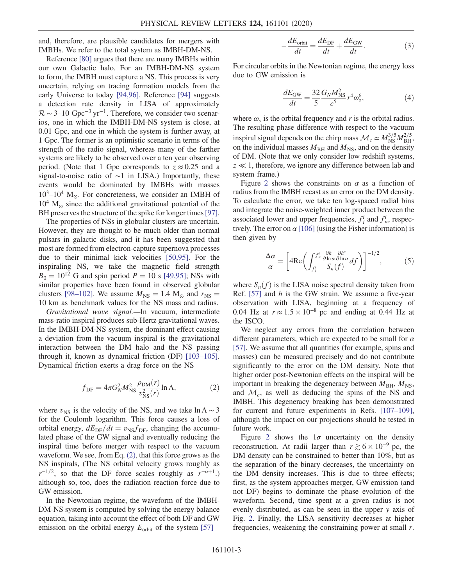and, therefore, are plausible candidates for mergers with IMBHs. We refer to the total system as IMBH-DM-NS.

Reference [\[80\]](#page-7-6) argues that there are many IMBHs within our own Galactic halo. For an IMBH-DM-NS system to form, the IMBH must capture a NS. This process is very uncertain, relying on tracing formation models from the early Universe to today [\[94,96\].](#page-7-9) Reference [\[94\]](#page-7-9) suggests a detection rate density in LISA of approximately  $\mathcal{R} \sim$  3–10 Gpc<sup>-3</sup> yr<sup>-1</sup>. Therefore, we consider two scenarios, one in which the IMBH-DM-NS system is close, at 0.01 Gpc, and one in which the system is further away, at 1 Gpc. The former is an optimistic scenario in terms of the strength of the radio signal, whereas many of the farther systems are likely to be observed over a ten year observing period. (Note that 1 Gpc corresponds to  $z \approx 0.25$  and a signal-to-noise ratio of ∼1 in LISA.) Importantly, these events would be dominated by IMBHs with masses  $10^3$ – $10^4$  M<sub>o</sub>. For concreteness, we consider an IMBH of  $10^4$  M<sub>o</sub> since the additional gravitational potential of the BH preserves the structure of the spike for longer times [\[97\]](#page-7-11).

The properties of NSs in globular clusters are uncertain. However, they are thought to be much older than normal pulsars in galactic disks, and it has been suggested that most are formed from electron-capture supernova processes due to their minimal kick velocities [\[50,95\].](#page-6-23) For the inspiraling NS, we take the magnetic field strength  $B_0 = 10^{12}$  G and spin period  $P = 10$  s [\[49,95\];](#page-6-24) NSs with similar properties have been found in observed globular clusters [98–[102\].](#page-7-12) We assume  $M_{NS} = 1.4 M_{\odot}$  and  $r_{NS} =$ 10 km as benchmark values for the NS mass and radius.

<span id="page-3-0"></span>Gravitational wave signal.—In vacuum, intermediate mass-ratio inspiral produces sub-Hertz gravitational waves. In the IMBH-DM-NS system, the dominant effect causing a deviation from the vacuum inspiral is the gravitational interaction between the DM halo and the NS passing through it, known as dynamical friction (DF) [\[103](#page-7-13)–105]. Dynamical friction exerts a drag force on the NS

$$
f_{\rm DF} = 4\pi G_N^2 M_{\rm NS}^2 \frac{\rho_{\rm DM}(r)}{v_{\rm NS}^2(r)} \ln \Lambda,\tag{2}
$$

where  $v_{\text{NS}}$  is the velocity of the NS, and we take lnΛ ~ 3 for the Coulomb logarithm. This force causes a loss of orbital energy,  $dE_{DF}/dt = v_{NS}f_{DF}$ , changing the accumulated phase of the GW signal and eventually reducing the inspiral time before merger with respect to the vacuum waveform. We see, from Eq. [\(2\)](#page-3-0), that this force grows as the NS inspirals, (The NS orbital velocity grows roughly as  $r^{-1/2}$ , so that the DF force scales roughly as  $r^{-\alpha+1}$ .) although so, too, does the radiation reaction force due to GW emission.

In the Newtonian regime, the waveform of the IMBH-DM-NS system is computed by solving the energy balance equation, taking into account the effect of both DF and GW emission on the orbital energy  $E_{\text{orbit}}$  of the system [\[57\]](#page-6-21)

$$
-\frac{dE_{\text{orbit}}}{dt} = \frac{dE_{\text{DF}}}{dt} + \frac{dE_{\text{GW}}}{dt}.
$$
 (3)

For circular orbits in the Newtonian regime, the energy loss due to GW emission is

$$
\frac{dE_{\rm GW}}{dt} = \frac{32}{5} \frac{G_N M_{\rm NS}^2}{c^5} r^4 \omega_s^6, \tag{4}
$$

where  $\omega_s$  is the orbital frequency and r is the orbital radius. The resulting phase difference with respect to the vacuum inspiral signal depends on the chirp mass  $\mathcal{M}_c \simeq M_{\text{NS}}^{3/5} M_{\text{BH}}^{2/5}$ , on the individual masses  $M_{BH}$  and  $M_{NS}$ , and on the density of DM. (Note that we only consider low redshift systems,  $z \ll 1$ , therefore, we ignore any difference between lab and system frame.)

Figure [2](#page-2-1) shows the constraints on  $\alpha$  as a function of radius from the IMBH recast as an error on the DM density. To calculate the error, we take ten log-spaced radial bins and integrate the noise-weighted inner product between the associated lower and upper frequencies,  $f_l^i$  and  $f_u^i$ , respectively. The error on  $\alpha$  [\[106\]](#page-7-14) (using the Fisher information) is then given by

$$
\frac{\Delta \alpha}{\alpha} = \left[ 4 \text{Re} \left( \int_{f_l^i}^{f_u^i} \frac{\frac{\partial h}{\partial \ln \alpha} \frac{\partial h^*}{\partial \ln \alpha}}{S_n(f)} df \right) \right]^{-1/2},\tag{5}
$$

where  $S_n(f)$  is the LISA noise spectral density taken from Ref.  $[57]$  and h is the GW strain. We assume a five-year observation with LISA, beginning at a frequency of 0.04 Hz at  $r \approx 1.5 \times 10^{-8}$  pc and ending at 0.44 Hz at the ISCO.

We neglect any errors from the correlation between different parameters, which are expected to be small for  $\alpha$ [\[57\]](#page-6-21). We assume that all quantities (for example, spins and masses) can be measured precisely and do not contribute significantly to the error on the DM density. Note that higher order post-Newtonian effects on the inspiral will be important in breaking the degeneracy between  $M_{\text{BH}}$ ,  $M_{\text{NS}}$ , and  $\mathcal{M}_c$ , as well as deducing the spins of the NS and IMBH. This degeneracy breaking has been demonstrated for current and future experiments in Refs. [\[107](#page-7-15)–109], although the impact on our projections should be tested in future work.

Figure [2](#page-2-1) shows the  $1\sigma$  uncertainty on the density reconstruction. At radii larger than  $r \gtrsim 6 \times 10^{-9}$  pc, the DM density can be constrained to better than 10%, but as the separation of the binary decreases, the uncertainty on the DM density increases. This is due to three effects; first, as the system approaches merger, GW emission (and not DF) begins to dominate the phase evolution of the waveform. Second, time spent at a given radius is not evenly distributed, as can be seen in the upper y axis of Fig. [2](#page-2-1). Finally, the LISA sensitivity decreases at higher frequencies, weakening the constraining power at small  $r$ .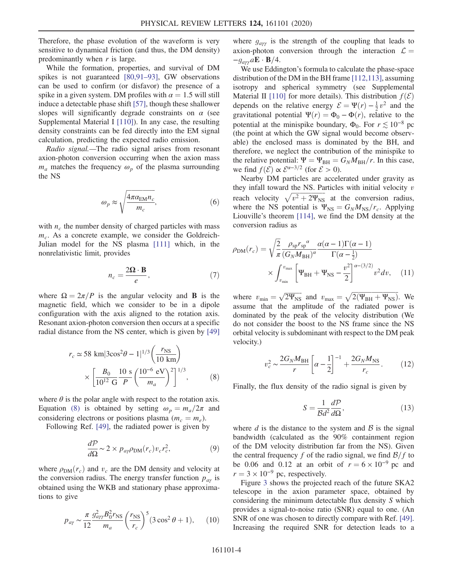Therefore, the phase evolution of the waveform is very sensitive to dynamical friction (and thus, the DM density) predominantly when  $r$  is large.

While the formation, properties, and survival of DM spikes is not guaranteed [\[80,91](#page-7-6)–93], GW observations can be used to confirm (or disfavor) the presence of a spike in a given system. DM profiles with  $\alpha = 1.5$  will still induce a detectable phase shift [\[57\]](#page-6-21), though these shallower slopes will significantly degrade constraints on  $\alpha$  (see Supplemental Material I [\[110\]\)](#page-7-16). In any case, the resulting density constraints can be fed directly into the EM signal calculation, predicting the expected radio emission.

Radio signal.—The radio signal arises from resonant axion-photon conversion occurring when the axion mass  $m_a$  matches the frequency  $\omega_p$  of the plasma surrounding the NS

$$
\omega_p \approx \sqrt{\frac{4\pi \alpha_{\text{EM}} n_c}{m_c}},\tag{6}
$$

with  $n_c$  the number density of charged particles with mass  $m<sub>c</sub>$ . As a concrete example, we consider the Goldreich-Julian model for the NS plasma [\[111\]](#page-7-17) which, in the nonrelativistic limit, provides

$$
n_c = \frac{2\Omega \cdot B}{e},\tag{7}
$$

<span id="page-4-0"></span>where  $\Omega = 2\pi/P$  is the angular velocity and **B** is the magnetic field, which we consider to be in a dipole configuration with the axis aligned to the rotation axis. Resonant axion-photon conversion then occurs at a specific radial distance from the NS center, which is given by [\[49\]](#page-6-24)

$$
r_c \simeq 58 \text{ km} |3\cos^2\theta - 1|^{1/3} \left(\frac{r_{\text{NS}}}{10 \text{ km}}\right) \times \left[\frac{B_0}{10^{12} \text{ G}} \frac{10 \text{ s}}{P} \left(\frac{10^{-6} \text{ eV}}{m_a}\right)^2\right]^{1/3}, \tag{8}
$$

where  $\theta$  is the polar angle with respect to the rotation axis. Equation [\(8\)](#page-4-0) is obtained by setting  $\omega_p = m_a/2\pi$  and considering electrons or positions plasma ( $m_c = m_e$ ).

Following Ref. [\[49\]](#page-6-24), the radiated power is given by

$$
\frac{d\mathcal{P}}{d\Omega} \sim 2 \times p_{a\gamma} \rho_{\text{DM}}(r_c) v_c r_c^2,\tag{9}
$$

where  $\rho_{DM}(r_c)$  and  $v_c$  are the DM density and velocity at the conversion radius. The energy transfer function  $p_{a\gamma}$  is obtained using the WKB and stationary phase approximations to give

$$
p_{a\gamma} \sim \frac{\pi}{12} \frac{g_{a\gamma\gamma}^2 B_0^2 r_{\rm NS}}{m_a} \left(\frac{r_{\rm NS}}{r_c}\right)^5 (3\cos^2\theta + 1), \qquad (10)
$$

where  $g_{a\gamma\gamma}$  is the strength of the coupling that leads to axion-photon conversion through the interaction  $\mathcal{L} =$  $-g_{\alpha\gamma\gamma}a\mathbf{E}\cdot\mathbf{B}/4.$ 

We use Eddington's formula to calculate the phase-space distribution of the DM in the BH frame [\[112,113\]](#page-7-18), assuming isotropy and spherical symmetry (see Supplemental Material II [\[110\]](#page-7-16) for more details). This distribution  $f(\mathcal{E})$ depends on the relative energy  $\mathcal{E} = \Psi(r) - \frac{1}{2}v^2$  and the gravitational potential  $\Psi(r) = \Phi_0 - \Phi(r)$ , relative to the potential at the minispike boundary,  $\Phi_0$ . For  $r \leq 10^{-8}$  pc (the point at which the GW signal would become observable) the enclosed mass is dominated by the BH, and therefore, we neglect the contribution of the minispike to the relative potential:  $\Psi = \Psi_{BH} = G_N M_{BH}/r$ . In this case, we find  $f(\mathcal{E}) \propto \mathcal{E}^{\alpha-3/2}$  (for  $\mathcal{E} > 0$ ).

Nearby DM particles are accelerated under gravity as they infall toward the NS. Particles with initial velocity  $v$ reach velocity  $\sqrt{v^2 + 2\Psi_{\text{NS}}}$  at the conversion radius, where the NS potential is  $\Psi_{\text{NS}} = G_N M_{\text{NS}}/r_c$ . Applying Liouville's theorem [\[114\],](#page-7-19) we find the DM density at the conversion radius as

$$
\rho_{\rm DM}(r_c) = \sqrt{\frac{2}{\pi}} \frac{\rho_{\rm sp} r_{\rm sp}{}^{\alpha}}{(G_N M_{\rm BH})^{\alpha}} \frac{\alpha(\alpha - 1)\Gamma(\alpha - 1)}{\Gamma(\alpha - \frac{1}{2})}
$$

$$
\times \int_{v_{\rm min}}^{v_{\rm max}} \left[ \Psi_{\rm BH} + \Psi_{\rm NS} - \frac{v^2}{2} \right]^{\alpha - (3/2)} v^2 dv, \quad (11)
$$

where  $v_{\text{min}} = \sqrt{2\Psi_{\text{NS}}}$  and  $v_{\text{max}} = \sqrt{2(\Psi_{\text{BH}} + \Psi_{\text{NS}})}$ . We assume that the amplitude of the radiated power is dominated by the peak of the velocity distribution (We do not consider the boost to the NS frame since the NS orbital velocity is subdominant with respect to the DM peak velocity.)

$$
v_c^2 \sim \frac{2G_N M_{\text{BH}}}{r} \left[ \alpha - \frac{1}{2} \right]^{-1} + \frac{2G_N M_{\text{NS}}}{r_c}.
$$
 (12)

Finally, the flux density of the radio signal is given by

$$
S = \frac{1}{\mathcal{B}d^2} \frac{d\mathcal{P}}{d\Omega},\tag{13}
$$

where  $d$  is the distance to the system and  $\beta$  is the signal bandwidth (calculated as the 90% containment region of the DM velocity distribution far from the NS). Given the central frequency f of the radio signal, we find  $\frac{\mathcal{B}}{f}$  to be 0.06 and 0.12 at an orbit of  $r = 6 \times 10^{-9}$  pc and  $r = 3 \times 10^{-9}$  pc, respectively.

Figure [3](#page-2-2) shows the projected reach of the future SKA2 telescope in the axion parameter space, obtained by considering the minimum detectable flux density S which provides a signal-to-noise ratio (SNR) equal to one. (An SNR of one was chosen to directly compare with Ref. [\[49\]](#page-6-24). Increasing the required SNR for detection leads to a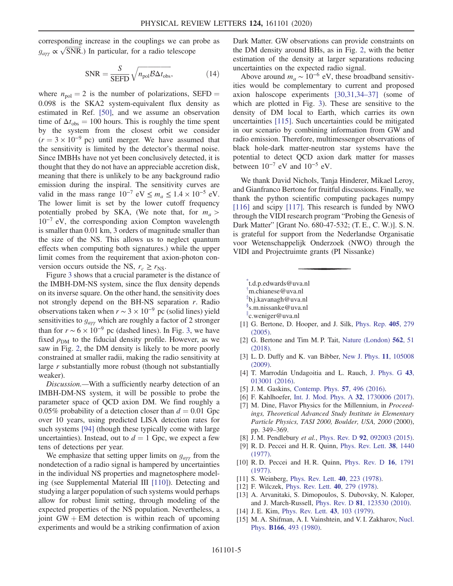corresponding increase in the couplings we can probe as  $g_{a\gamma\gamma} \propto \sqrt{\text{SNR}}$ .) In particular, for a radio telescope

$$
SNR = \frac{S}{SEFD} \sqrt{n_{pol} B \Delta t_{obs}},
$$
 (14)

where  $n_{pol} = 2$  is the number of polarizations, SEFD = 0.098 is the SKA2 system-equivalent flux density as estimated in Ref. [\[50\]](#page-6-23), and we assume an observation time of  $\Delta t_{obs} = 100$  hours. This is roughly the time spent by the system from the closest orbit we consider  $(r = 3 \times 10^{-9} \text{ pc})$  until merger. We have assumed that the sensitivity is limited by the detector's thermal noise. Since IMBHs have not yet been conclusively detected, it is thought that they do not have an appreciable accretion disk, meaning that there is unlikely to be any background radio emission during the inspiral. The sensitivity curves are valid in the mass range  $10^{-7}$  eV  $\leq m_a \leq 1.4 \times 10^{-5}$  eV. The lower limit is set by the lower cutoff frequency potentially probed by SKA, (We note that, for  $m_a >$  $10^{-7}$  eV, the corresponding axion Compton wavelength is smaller than 0.01 km, 3 orders of magnitude smaller than the size of the NS. This allows us to neglect quantum effects when computing both signatures.) while the upper limit comes from the requirement that axion-photon conversion occurs outside the NS,  $r_c \ge r_{\text{NS}}$ .

Figure [3](#page-2-2) shows that a crucial parameter is the distance of the IMBH-DM-NS system, since the flux density depends on its inverse square. On the other hand, the sensitivity does not strongly depend on the BH-NS separation r. Radio observations taken when  $r \sim 3 \times 10^{-9}$  pc (solid lines) yield sensitivities to  $g_{a\gamma\gamma}$  which are roughly a factor of 2 stronger than for  $r \sim 6 \times 10^{-9}$  pc (dashed lines). In Fig. [3,](#page-2-2) we have fixed  $\rho_{DM}$  to the fiducial density profile. However, as we saw in Fig. [2,](#page-2-1) the DM density is likely to be more poorly constrained at smaller radii, making the radio sensitivity at large r substantially more robust (though not substantially weaker).

Discussion.—With a sufficiently nearby detection of an IMBH-DM-NS system, it will be possible to probe the parameter space of QCD axion DM. We find roughly a 0.05% probability of a detection closer than  $d = 0.01$  Gpc over 10 years, using predicted LISA detection rates for such systems [\[94\]](#page-7-9) (though these typically come with large uncertainties). Instead, out to  $d = 1$  Gpc, we expect a few tens of detections per year.

We emphasize that setting upper limits on  $g_{a\gamma\gamma}$  from the nondetection of a radio signal is hampered by uncertainties in the individual NS properties and magnetosphere modeling (see Supplemental Material III [\[110\]](#page-7-16)). Detecting and studying a larger population of such systems would perhaps allow for robust limit setting, through modeling of the expected properties of the NS population. Nevertheless, a joint  $GW + EM$  detection is within reach of upcoming experiments and would be a striking confirmation of axion Dark Matter. GW observations can provide constraints on the DM density around BHs, as in Fig. [2,](#page-2-1) with the better estimation of the density at larger separations reducing uncertainties on the expected radio signal.

Above around  $m_a \sim 10^{-6}$  eV, these broadband sensitivities would be complementary to current and proposed axion haloscope experiments [\[30,31,34](#page-6-5)–37] (some of which are plotted in Fig. [3\)](#page-2-2). These are sensitive to the density of DM local to Earth, which carries its own uncertainties [\[115\].](#page-7-20) Such uncertainties could be mitigated in our scenario by combining information from GW and radio emission. Therefore, multimessenger observations of black hole-dark matter-neutron star systems have the potential to detect QCD axion dark matter for masses between  $10^{-7}$  eV and  $10^{-5}$  eV.

We thank David Nichols, Tanja Hinderer, Mikael Leroy, and Gianfranco Bertone for fruitful discussions. Finally, we thank the python scientific computing packages numpy [\[116\]](#page-7-21) and scipy [\[117\]](#page-7-22). This research is funded by NWO through the VIDI research program "Probing the Genesis of Dark Matter" [Grant No. 680-47-532; (T. E., C. W.)]. S. N. is grateful for support from the Nederlandse Organisatie voor Wetenschappelijk Onderzoek (NWO) through the VIDI and Projectruimte grants (PI Nissanke)

- <span id="page-5-1"></span><span id="page-5-0"></span>[\\*](#page-1-0) t.d.p.edwards@uva.nl
- <span id="page-5-2"></span>[†](#page-1-0) m.chianese@uva.nl
- <span id="page-5-3"></span>[‡](#page-1-0) b.j.kavanagh@uva.nl
- <span id="page-5-4"></span>[§](#page-1-0) s.m.nissanke@uva.nl
- [∥](#page-1-0) c.weniger@uva.nl
- <span id="page-5-5"></span>[1] G. Bertone, D. Hooper, and J. Silk, [Phys. Rep.](https://doi.org/10.1016/j.physrep.2004.08.031) 405, 279 [\(2005\).](https://doi.org/10.1016/j.physrep.2004.08.031)
- [2] G. Bertone and Tim M. P. Tait, [Nature \(London\)](https://doi.org/10.1038/s41586-018-0542-z) **562**, 51 [\(2018\).](https://doi.org/10.1038/s41586-018-0542-z)
- <span id="page-5-6"></span>[3] L. D. Duffy and K. van Bibber, [New J. Phys.](https://doi.org/10.1088/1367-2630/11/10/105008) 11, 105008 [\(2009\).](https://doi.org/10.1088/1367-2630/11/10/105008)
- [4] T. Marrodán Undagoitia and L. Rauch, [J. Phys. G](https://doi.org/10.1088/0954-3899/43/1/013001) 43, [013001 \(2016\).](https://doi.org/10.1088/0954-3899/43/1/013001)
- [5] J. M. Gaskins, [Contemp. Phys.](https://doi.org/10.1080/00107514.2016.1175160) **57**, 496 (2016).
- <span id="page-5-7"></span>[6] F. Kahlhoefer, [Int. J. Mod. Phys. A](https://doi.org/10.1142/S0217751X1730006X) 32, 1730006 (2017).
- [7] M. Dine, Flavor Physics for the Millennium, in *Proceed*ings, Theoretical Advanced Study Institute in Elementary Particle Physics, TASI 2000, Boulder, USA, 2000 (2000), pp. 349–369.
- <span id="page-5-9"></span><span id="page-5-8"></span>[8] J. M. Pendlebury et al., Phys. Rev. D 92[, 092003 \(2015\).](https://doi.org/10.1103/PhysRevD.92.092003)
- [9] R. D. Peccei and H. R. Quinn, [Phys. Rev. Lett.](https://doi.org/10.1103/PhysRevLett.38.1440) 38, 1440 [\(1977\).](https://doi.org/10.1103/PhysRevLett.38.1440)
- [10] R. D. Peccei and H. R. Quinn, [Phys. Rev. D](https://doi.org/10.1103/PhysRevD.16.1791) 16, 1791 [\(1977\).](https://doi.org/10.1103/PhysRevD.16.1791)
- [11] S. Weinberg, [Phys. Rev. Lett.](https://doi.org/10.1103/PhysRevLett.40.223) **40**, 223 (1978).
- <span id="page-5-10"></span>[12] F. Wilczek, [Phys. Rev. Lett.](https://doi.org/10.1103/PhysRevLett.40.279) **40**, 279 (1978).
- [13] A. Arvanitaki, S. Dimopoulos, S. Dubovsky, N. Kaloper, and J. March-Russell, Phys. Rev. D 81[, 123530 \(2010\).](https://doi.org/10.1103/PhysRevD.81.123530)
- <span id="page-5-11"></span>[14] J. E. Kim, [Phys. Rev. Lett.](https://doi.org/10.1103/PhysRevLett.43.103) **43**, 103 (1979).
- [15] M. A. Shifman, A. I. Vainshtein, and V. I. Zakharov, [Nucl.](https://doi.org/10.1016/0550-3213(80)90209-6) Phys. B166[, 493 \(1980\).](https://doi.org/10.1016/0550-3213(80)90209-6)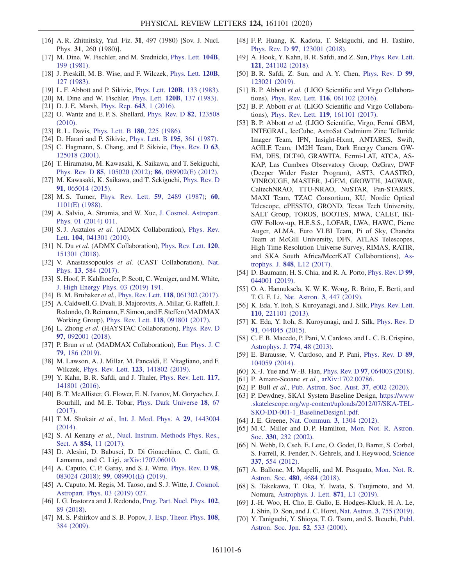- [16] A. R. Zhitnitsky, Yad. Fiz. 31, 497 (1980) [Sov. J. Nucl. Phys. 31, 260 (1980)].
- [17] M. Dine, W. Fischler, and M. Srednicki, [Phys. Lett.](https://doi.org/10.1016/0370-2693(81)90590-6) 104B, [199 \(1981\)](https://doi.org/10.1016/0370-2693(81)90590-6).
- <span id="page-6-0"></span>[18] J. Preskill, M. B. Wise, and F. Wilczek, [Phys. Lett.](https://doi.org/10.1016/0370-2693(83)90637-8) 120B, [127 \(1983\)](https://doi.org/10.1016/0370-2693(83)90637-8).
- [19] L. F. Abbott and P. Sikivie, Phys. Lett. **120B**[, 133 \(1983\).](https://doi.org/10.1016/0370-2693(83)90638-X)
- [20] M. Dine and W. Fischler, Phys. Lett. **120B**[, 137 \(1983\).](https://doi.org/10.1016/0370-2693(83)90639-1)
- <span id="page-6-1"></span>[21] D. J. E. Marsh, [Phys. Rep.](https://doi.org/10.1016/j.physrep.2016.06.005) **643**, 1 (2016).
- <span id="page-6-2"></span>[22] O. Wantz and E.P.S. Shellard, [Phys. Rev. D](https://doi.org/10.1103/PhysRevD.82.123508) **82**, 123508 [\(2010\).](https://doi.org/10.1103/PhysRevD.82.123508)
- <span id="page-6-3"></span>[23] R. L. Davis, [Phys. Lett. B](https://doi.org/10.1016/0370-2693(86)90300-X) 180, 225 (1986).
- [24] D. Harari and P. Sikivie, [Phys. Lett. B](https://doi.org/10.1016/0370-2693(87)90032-3) 195, 361 (1987).
- [25] C. Hagmann, S. Chang, and P. Sikivie, [Phys. Rev. D](https://doi.org/10.1103/PhysRevD.63.125018) 63, [125018 \(2001\).](https://doi.org/10.1103/PhysRevD.63.125018)
- [26] T. Hiramatsu, M. Kawasaki, K. Saikawa, and T. Sekiguchi, Phys. Rev. D 85[, 105020 \(2012\)](https://doi.org/10.1103/PhysRevD.85.105020); 86[, 089902\(E\) \(2012\)](https://doi.org/10.1103/PhysRevD.86.089902).
- [27] M. Kawasaki, K. Saikawa, and T. Sekiguchi, [Phys. Rev. D](https://doi.org/10.1103/PhysRevD.91.065014) 91[, 065014 \(2015\).](https://doi.org/10.1103/PhysRevD.91.065014)
- <span id="page-6-4"></span>[28] M. S. Turner, [Phys. Rev. Lett.](https://doi.org/10.1103/PhysRevLett.59.2489) **59**[,](https://doi.org/10.1103/PhysRevLett.60.1101.3) 2489 (1987); **60**, [1101\(E\) \(1988\).](https://doi.org/10.1103/PhysRevLett.60.1101.3)
- [29] A. Salvio, A. Strumia, and W. Xue, [J. Cosmol. Astropart.](https://doi.org/10.1088/1475-7516/2014/01/011) [Phys. 01 \(2014\) 011.](https://doi.org/10.1088/1475-7516/2014/01/011)
- <span id="page-6-5"></span>[30] S.J. Asztalos et al. (ADMX Collaboration), [Phys. Rev.](https://doi.org/10.1103/PhysRevLett.104.041301) Lett. 104[, 041301 \(2010\)](https://doi.org/10.1103/PhysRevLett.104.041301).
- [31] N. Du et al. (ADMX Collaboration), [Phys. Rev. Lett.](https://doi.org/10.1103/PhysRevLett.120.151301) 120, [151301 \(2018\).](https://doi.org/10.1103/PhysRevLett.120.151301)
- <span id="page-6-22"></span>[32] V. Anastassopoulos et al. (CAST Collaboration), [Nat.](https://doi.org/10.1038/nphys4109) Phys. 13[, 584 \(2017\).](https://doi.org/10.1038/nphys4109)
- [33] S. Hoof, F. Kahlhoefer, P. Scott, C. Weniger, and M. White, [J. High Energy Phys. 03 \(2019\) 191.](https://doi.org/10.1007/JHEP03(2019)191)
- <span id="page-6-6"></span>[34] B. M. Brubaker et al., Phys. Rev. Lett. **118**[, 061302 \(2017\).](https://doi.org/10.1103/PhysRevLett.118.061302)
- [35] A. Caldwell, G. Dvali, B.Majorovits, A.Millar, G. Raffelt, J. Redondo, O. Reimann, F. Simon, and F. Steffen (MADMAX Working Group), Phys. Rev. Lett. 118[, 091801 \(2017\)](https://doi.org/10.1103/PhysRevLett.118.091801).
- [36] L. Zhong et al. (HAYSTAC Collaboration), [Phys. Rev. D](https://doi.org/10.1103/PhysRevD.97.092001) 97[, 092001 \(2018\).](https://doi.org/10.1103/PhysRevD.97.092001)
- [37] P. Brun et al. (MADMAX Collaboration), [Eur. Phys. J. C](https://doi.org/10.1140/epjc/s10052-019-6683-x) 79[, 186 \(2019\)](https://doi.org/10.1140/epjc/s10052-019-6683-x).
- [38] M. Lawson, A. J. Millar, M. Pancaldi, E. Vitagliano, and F. Wilczek, Phys. Rev. Lett. 123[, 141802 \(2019\)](https://doi.org/10.1103/PhysRevLett.123.141802).
- [39] Y. Kahn, B. R. Safdi, and J. Thaler, [Phys. Rev. Lett.](https://doi.org/10.1103/PhysRevLett.117.141801) 117, [141801 \(2016\).](https://doi.org/10.1103/PhysRevLett.117.141801)
- [40] B. T. McAllister, G. Flower, E. N. Ivanov, M. Goryachev, J. Bourhill, and M. E. Tobar, [Phys. Dark Universe](https://doi.org/10.1016/j.dark.2017.09.010) 18, 67 [\(2017\).](https://doi.org/10.1016/j.dark.2017.09.010)
- [41] T.M. Shokair et al., [Int. J. Mod. Phys. A](https://doi.org/10.1142/S0217751X14430040) 29, 1443004 [\(2014\).](https://doi.org/10.1142/S0217751X14430040)
- [42] S. Al Kenany et al., [Nucl. Instrum. Methods Phys. Res.,](https://doi.org/10.1016/j.nima.2017.02.012) Sect. A 854[, 11 \(2017\)](https://doi.org/10.1016/j.nima.2017.02.012).
- [43] D. Alesini, D. Babusci, D. Di Gioacchino, C. Gatti, G. Lamanna, and C. Ligi, [arXiv:1707.06010.](https://arXiv.org/abs/1707.06010)
- [44] A. Caputo, C. P. Garay, and S. J. Witte, *[Phys. Rev. D](https://doi.org/10.1103/PhysRevD.98.083024)* 98, [083024 \(2018\);](https://doi.org/10.1103/PhysRevD.98.083024) 99[, 089901\(E\) \(2019\).](https://doi.org/10.1103/PhysRevD.99.089901)
- [45] A. Caputo, M. Regis, M. Taoso, and S. J. Witte, [J. Cosmol.](https://doi.org/10.1088/1475-7516/2019/03/027) [Astropart. Phys. 03 \(2019\) 027.](https://doi.org/10.1088/1475-7516/2019/03/027)
- <span id="page-6-7"></span>[46] I. G. Irastorza and J. Redondo, [Prog. Part. Nucl. Phys.](https://doi.org/10.1016/j.ppnp.2018.05.003) 102, [89 \(2018\)](https://doi.org/10.1016/j.ppnp.2018.05.003).
- <span id="page-6-8"></span>[47] M. S. Pshirkov and S. B. Popov, [J. Exp. Theor. Phys.](https://doi.org/10.1134/S1063776109030030) **108**, [384 \(2009\)](https://doi.org/10.1134/S1063776109030030).
- <span id="page-6-9"></span>[48] F. P. Huang, K. Kadota, T. Sekiguchi, and H. Tashiro, Phys. Rev. D 97[, 123001 \(2018\)](https://doi.org/10.1103/PhysRevD.97.123001).
- <span id="page-6-24"></span>[49] A. Hook, Y. Kahn, B. R. Safdi, and Z. Sun, [Phys. Rev. Lett.](https://doi.org/10.1103/PhysRevLett.121.241102) 121[, 241102 \(2018\)](https://doi.org/10.1103/PhysRevLett.121.241102).
- <span id="page-6-23"></span>[50] B. R. Safdi, Z. Sun, and A. Y. Chen, [Phys. Rev. D](https://doi.org/10.1103/PhysRevD.99.123021) 99, [123021 \(2019\).](https://doi.org/10.1103/PhysRevD.99.123021)
- <span id="page-6-10"></span>[51] B. P. Abbott et al. (LIGO Scientific and Virgo Collaborations), Phys. Rev. Lett. 116[, 061102 \(2016\).](https://doi.org/10.1103/PhysRevLett.116.061102)
- <span id="page-6-11"></span>[52] B. P. Abbott et al. (LIGO Scientific and Virgo Collaborations), Phys. Rev. Lett. 119[, 161101 \(2017\).](https://doi.org/10.1103/PhysRevLett.119.161101)
- [53] B. P. Abbott et al. (LIGO Scientific, Virgo, Fermi GBM, INTEGRAL, IceCube, AstroSat Cadmium Zinc Telluride Imager Team, IPN, Insight-Hxmt, ANTARES, Swift, AGILE Team, 1M2H Team, Dark Energy Camera GW-EM, DES, DLT40, GRAWITA, Fermi-LAT, ATCA, AS-KAP, Las Cumbres Observatory Group, OzGrav, DWF (Deeper Wider Faster Program), AST3, CAASTRO, VINROUGE, MASTER, J-GEM, GROWTH, JAGWAR, CaltechNRAO, TTU-NRAO, NuSTAR, Pan-STARRS, MAXI Team, TZAC Consortium, KU, Nordic Optical Telescope, ePESSTO, GROND, Texas Tech University, SALT Group, TOROS, BOOTES, MWA, CALET, IKI-GW Follow-up, H.E.S.S., LOFAR, LWA, HAWC, Pierre Auger, ALMA, Euro VLBI Team, Pi of Sky, Chandra Team at McGill University, DFN, ATLAS Telescopes, High Time Resolution Universe Survey, RIMAS, RATIR, and SKA South Africa/MeerKAT Collaborations), [As](https://doi.org/10.3847/2041-8213/aa91c9)trophys. J. 848[, L12 \(2017\).](https://doi.org/10.3847/2041-8213/aa91c9)
- <span id="page-6-12"></span>[54] D. Baumann, H. S. Chia, and R. A. Porto, [Phys. Rev. D](https://doi.org/10.1103/PhysRevD.99.044001) 99, [044001 \(2019\).](https://doi.org/10.1103/PhysRevD.99.044001)
- [55] O. A. Hannuksela, K. W. K. Wong, R. Brito, E. Berti, and T. G. F. Li, Nat. Astron. 3[, 447 \(2019\)](https://doi.org/10.1038/s41550-019-0712-4).
- <span id="page-6-13"></span>[56] K. Eda, Y. Itoh, S. Kuroyanagi, and J. Silk, [Phys. Rev. Lett.](https://doi.org/10.1103/PhysRevLett.110.221101) 110[, 221101 \(2013\)](https://doi.org/10.1103/PhysRevLett.110.221101).
- <span id="page-6-21"></span>[57] K. Eda, Y. Itoh, S. Kuroyanagi, and J. Silk, [Phys. Rev. D](https://doi.org/10.1103/PhysRevD.91.044045) 91[, 044045 \(2015\).](https://doi.org/10.1103/PhysRevD.91.044045)
- <span id="page-6-14"></span>[58] C. F. B. Macedo, P. Pani, V. Cardoso, and L. C. B. Crispino, [Astrophys. J.](https://doi.org/10.1088/0004-637X/774/1/48) 774, 48 (2013).
- [59] E. Barausse, V. Cardoso, and P. Pani, [Phys. Rev. D](https://doi.org/10.1103/PhysRevD.89.104059) 89, [104059 \(2014\).](https://doi.org/10.1103/PhysRevD.89.104059)
- <span id="page-6-15"></span>[60] X.-J. Yue and W.-B. Han, Phys. Rev. D 97[, 064003 \(2018\).](https://doi.org/10.1103/PhysRevD.97.064003)
- <span id="page-6-16"></span>[61] P. Amaro-Seoane et al., [arXiv:1702.00786.](https://arXiv.org/abs/1702.00786)
- [62] P. Bull et al., [Pub. Astron. Soc. Aust.](https://doi.org/10.1017/pasa.2019.42) 37, e002 (2020).
- [63] P. Dewdney, SKA1 System Baseline Design, [https://www](https://www.skatelescope.org/wp-content/uploads/2012/07/SKA-TEL-SKO-DD-001-1_BaselineDesign1.pdf) [.skatelescope.org/wp-content/uploads/2012/07/SKA-TEL-](https://www.skatelescope.org/wp-content/uploads/2012/07/SKA-TEL-SKO-DD-001-1_BaselineDesign1.pdf)[SKO-DD-001-1\\_BaselineDesign1.pdf.](https://www.skatelescope.org/wp-content/uploads/2012/07/SKA-TEL-SKO-DD-001-1_BaselineDesign1.pdf)
- <span id="page-6-18"></span><span id="page-6-17"></span>[64] J. E. Greene, [Nat. Commun.](https://doi.org/10.1038/ncomms2314) 3, 1304 (2012).
- <span id="page-6-19"></span>[65] M. C. Miller and D. P. Hamilton, [Mon. Not. R. Astron.](https://doi.org/10.1046/j.1365-8711.2002.05112.x) Soc. 330[, 232 \(2002\)](https://doi.org/10.1046/j.1365-8711.2002.05112.x).
- [66] N. Webb, D. Cseh, E. Lenc, O. Godet, D. Barret, S. Corbel, S. Farrell, R. Fender, N. Gehrels, and I. Heywood, [Science](https://doi.org/10.1126/science.1222779) 337[, 554 \(2012\)](https://doi.org/10.1126/science.1222779).
- [67] A. Ballone, M. Mapelli, and M. Pasquato, [Mon. Not. R.](https://doi.org/10.1093/mnras/sty2139) Astron. Soc. 480[, 4684 \(2018\)](https://doi.org/10.1093/mnras/sty2139).
- [68] S. Takekawa, T. Oka, Y. Iwata, S. Tsujimoto, and M. Nomura, [Astrophys. J. Lett.](https://doi.org/10.3847/2041-8213/aafb07) 871, L1 (2019).
- <span id="page-6-20"></span>[69] J.-H. Woo, H. Cho, E. Gallo, E. Hodges-Kluck, H. A. Le, J. Shin, D. Son, and J. C. Horst, Nat. Astron. 3[, 755 \(2019\).](https://doi.org/10.1038/s41550-019-0790-3)
- [70] Y. Taniguchi, Y. Shioya, T. G. Tsuru, and S. Ikeuchi, [Publ.](https://doi.org/10.1093/pasj/52.3.533) [Astron. Soc. Jpn.](https://doi.org/10.1093/pasj/52.3.533) 52, 533 (2000).